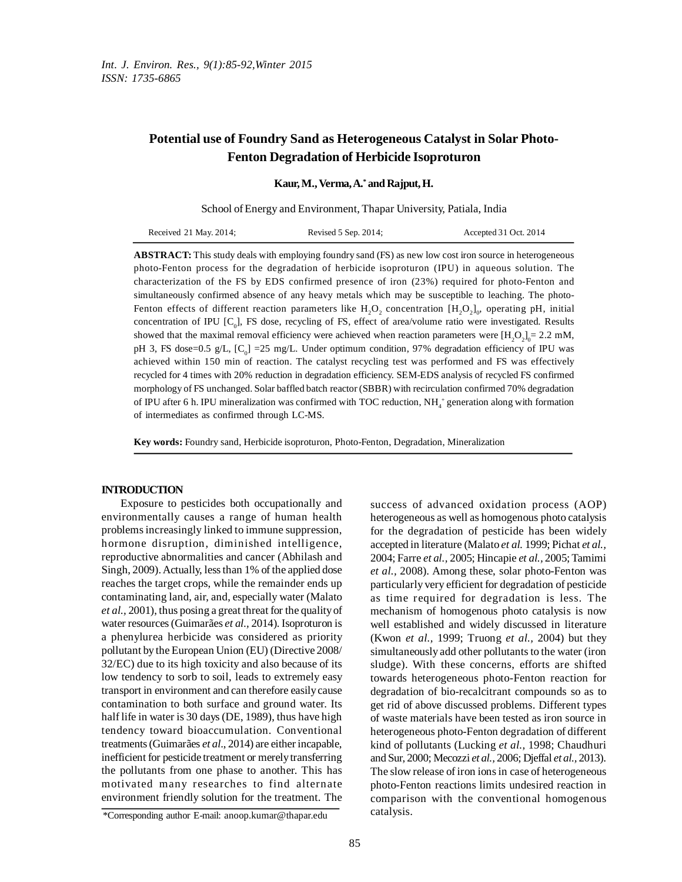# **Potential use of Foundry Sand as Heterogeneous Catalyst in Solar Photo-Fenton Degradation of Herbicide Isoproturon**

**Kaur,M.,Verma,A. \* and Rajput,H.**

School of Energy and Environment, Thapar University, Patiala, India

| Received 21 May. 2014; | Revised 5 Sep. 2014; | Accepted 31 Oct. 2014 |
|------------------------|----------------------|-----------------------|
|------------------------|----------------------|-----------------------|

**ABSTRACT:** This study deals with employing foundry sand (FS) as new low cost iron source in heterogeneous photo-Fenton process for the degradation of herbicide isoproturon (IPU) in aqueous solution. The characterization of the FS by EDS confirmed presence of iron (23%) required for photo-Fenton and simultaneously confirmed absence of any heavy metals which may be susceptible to leaching. The photo-Fenton effects of different reaction parameters like  ${\rm H_2O_2}$  concentration  ${\rm [H_2O_2]_0}$ , operating pH, initial concentration of IPU  $[C_0]$ , FS dose, recycling of FS, effect of area/volume ratio were investigated. Results showed that the maximal removal efficiency were achieved when reaction parameters were  $[H_2O_2]_0 = 2.2$  mM, pH 3, FS dose=0.5 g/L,  $[C_{0}]$  =25 mg/L. Under optimum condition, 97% degradation efficiency of IPU was achieved within 150 min of reaction. The catalyst recycling test was performed and FS was effectively recycled for 4 times with 20% reduction in degradation efficiency. SEM-EDS analysis of recycled FS confirmed morphology of FS unchanged. Solar baffled batch reactor (SBBR) with recirculation confirmed 70% degradation of IPU after 6 h. IPU mineralization was confirmed with TOC reduction,  $NH_4^+$  generation along with formation of intermediates as confirmed through LC-MS.

**Key words:** Foundry sand, Herbicide isoproturon, Photo-Fenton, Degradation, Mineralization

## **INTRODUCTION**

Exposure to pesticides both occupationally and environmentally causes a range of human health problemsincreasingly linked to immune suppression, hormone disruption, diminished intelligence, reproductive abnormalities and cancer (Abhilash and Singh, 2009). Actually, less than 1% of the applied dose reaches the target crops, while the remainder ends up contaminating land, air, and, especially water (Malato *et al.,* 2001), thus posing a great threat for the qualityof water resources(Guimarães *et al.,* 2014). Isoproturon is a phenylurea herbicide was considered as priority pollutant by theEuropean Union (EU) (Directive 2008/ 32/EC) due to its high toxicity and also because of its low tendency to sorb to soil, leads to extremely easy transport in environment and can therefore easilycause contamination to both surface and ground water. Its half life in water is 30 days(DE, 1989), thus have high tendency toward bioaccumulation. Conventional treatments(Guimarães *et al*., 2014) are either incapable, inefficient for pesticide treatment or merely transferring the pollutants from one phase to another. This has motivated many researches to find alternate environment friendly solution for the treatment. The success of advanced oxidation process (AOP) heterogeneous as well as homogenous photo catalysis for the degradation of pesticide has been widely accepted in literature (Malato *et al.* 1999; Pichat *et al.,* 2004; Farre *et al.,* 2005; Hincapie *et al.,* 2005;Tamimi *et al.,* 2008). Among these, solar photo-Fenton was particularly very efficient for degradation of pesticide as time required for degradation is less. The mechanism of homogenous photo catalysis is now well established and widely discussed in literature (Kwon *et al.,* 1999; Truong *et al.,* 2004) but they simultaneously add other pollutants to the water (iron sludge). With these concerns, efforts are shifted towards heterogeneous photo-Fenton reaction for degradation of bio-recalcitrant compounds so as to get rid of above discussed problems. Different types of waste materials have been tested as iron source in heterogeneous photo-Fenton degradation of different kind of pollutants (Lucking *et al.,* 1998; Chaudhuri and Sur, 2000; Mecozzi *et al.,* 2006; Djeffal *et al.,* 2013). The slow release of iron ions in case of heterogeneous photo-Fenton reactions limits undesired reaction in comparison with the conventional homogenous catalysis.

<sup>\*</sup>Corresponding author E-mail: anoop.kumar@thapar.edu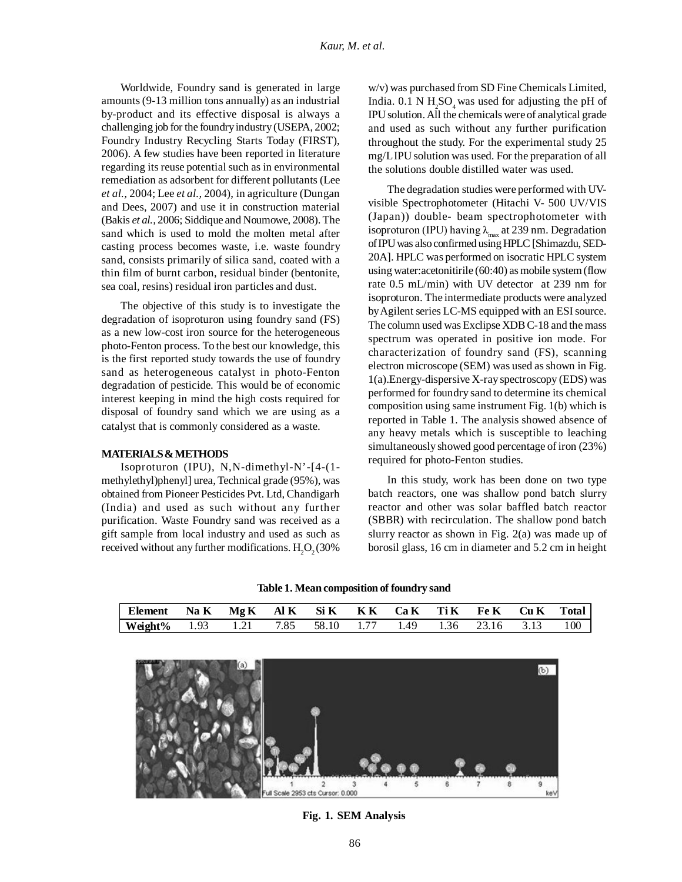Worldwide, Foundry sand is generated in large amounts(9-13 million tons annually) as an industrial by-product and its effective disposal is always a challenging job for the foundry industry (USEPA, 2002; Foundry Industry Recycling Starts Today (FIRST), 2006). A few studies have been reported in literature regarding its reuse potential such as in environmental remediation as adsorbent for different pollutants (Lee *et al.,* 2004; Lee *et al.,* 2004), in agriculture (Dungan and Dees, 2007) and use it in construction material (Bakis *et al.,* 2006; Siddique and Noumowe, 2008). The sand which is used to mold the molten metal after casting process becomes waste, i.e. waste foundry sand, consists primarily of silica sand, coated with a thin film of burnt carbon, residual binder (bentonite, sea coal, resins) residual iron particles and dust.

The objective of this study is to investigate the degradation of isoproturon using foundry sand (FS) as a new low-cost iron source for the heterogeneous photo-Fenton process. To the best our knowledge, this is the first reported study towards the use of foundry sand as heterogeneous catalyst in photo-Fenton degradation of pesticide. This would be of economic interest keeping in mind the high costs required for disposal of foundry sand which we are using as a catalyst that is commonly considered as a waste.

## **MATERIALS&METHODS**

Isoproturon (IPU), N,N-dimethyl-N'-[4-(1 methylethyl)phenyl] urea, Technical grade (95%), was obtained from Pioneer Pesticides Pvt. Ltd, Chandigarh (India) and used as such without any further purification. Waste Foundry sand was received as a gift sample from local industry and used as such as received without any further modifications.  $H_2O_2(30\%)$ 

w/v) was purchased from SD Fine Chemicals Limited, India.  $0.1$  N  $H_2SO_4$  was used for adjusting the pH of IPUsolution.All the chemicals were of analytical grade and used as such without any further purification throughout the study. For the experimental study 25 mg/LIPU solution was used. For the preparation of all the solutions double distilled water was used.

The degradation studies were performed with UVvisible Spectrophotometer (Hitachi V- 500 UV/VIS (Japan)) double- beam spectrophotometer with isoproturon (IPU) having  $\lambda_{\max}$  at 239 nm. Degradation ofIPUwas alsoconfirmed usingHPLC [Shimazdu, SED-20A]. HPLC was performed on isocratic HPLC system using water: acetonitirile (60:40) as mobile system (flow rate 0.5 mL/min) with UV detector at 239 nm for isoproturon. The intermediate products were analyzed by Agilent series LC-MS equipped with an ESI source. The column used was Exclipse XDB C-18 and the mass spectrum was operated in positive ion mode. For characterization of foundry sand (FS), scanning electron microscope (SEM) was used as shown in Fig. 1(a).Energy-dispersive X-ray spectroscopy (EDS) was performed for foundry sand to determine its chemical composition using same instrument Fig. 1(b) which is reported in Table 1. The analysis showed absence of any heavy metals which is susceptible to leaching simultaneously showed good percentage of iron (23%) required for photo-Fenton studies.

In this study, work has been done on two type batch reactors, one was shallow pond batch slurry reactor and other was solar baffled batch reactor (SBBR) with recirculation. The shallow pond batch slurry reactor as shown in Fig. 2(a) was made up of borosil glass, 16 cm in diameter and 5.2 cm in height

**Table 1. Meancomposition of foundry sand**

| Element Na K Mg K Al K Si K K K Ca K Ti K Fe K Cu K Total  |  |  |  |  |  |
|------------------------------------------------------------|--|--|--|--|--|
| Weight% 1.93 1.21 7.85 58.10 1.77 1.49 1.36 23.16 3.13 100 |  |  |  |  |  |
|                                                            |  |  |  |  |  |



**Fig. 1. SEM Analysis**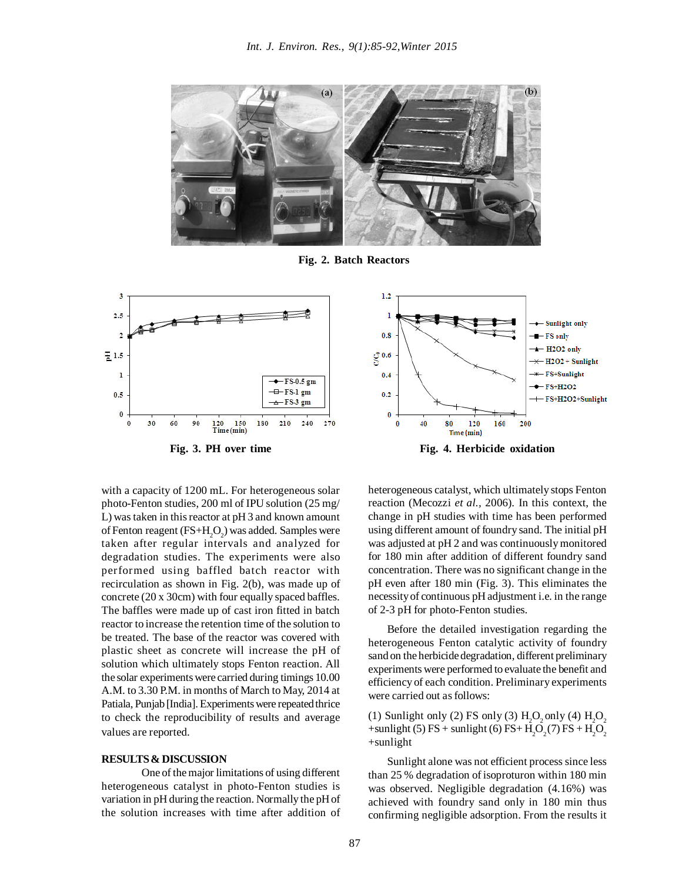

**Fig. 2. Batch Reactors**



with a capacity of 1200 mL. For heterogeneous solar photo-Fenton studies, 200 ml of IPU solution (25 mg/ L) was taken in this reactor at pH 3 and known amount of Fenton reagent (FS+H<sub>2</sub>O<sub>2</sub>) was added. Samples were taken after regular intervals and analyzed for degradation studies. The experiments were also performed using baffled batch reactor with recirculation as shown in Fig. 2(b), was made up of concrete (20 x 30cm) with four equally spaced baffles. The baffles were made up of cast iron fitted in batch reactor to increase the retention time of the solution to be treated. The base of the reactor was covered with plastic sheet as concrete will increase the pH of solution which ultimately stops Fenton reaction. All the solar experimentswere carried during timings 10.00 A.M. to 3.30 P.M. in months of March to May, 2014 at Patiala, Punjab [India]. Experiments were repeated thrice to check the reproducibility of results and average values are reported.

## **RESULTS& DISCUSSION**

One of themajor limitations of using different heterogeneous catalyst in photo-Fenton studies is variation in pH during the reaction. Normally the pHof the solution increases with time after addition of



heterogeneous catalyst, which ultimately stops Fenton reaction (Mecozzi *et al.,* 2006). In this context, the change in pH studies with time has been performed using different amount of foundry sand. The initial pH was adjusted at pH 2 and was continuouslymonitored for 180 min after addition of different foundry sand concentration. There was no significant change in the pH even after 180 min (Fig. 3). This eliminates the necessityof continuous pH adjustment i.e. in the range of 2-3 pH for photo-Fenton studies.

Before the detailed investigation regarding the heterogeneous Fenton catalytic activity of foundry sand on the herbicide degradation, different preliminary experiments were performed to evaluate the benefit and efficiency of each condition. Preliminary experiments were carried out as follows:

(1) Sunlight only (2) FS only (3)  $H_2O_2$  only (4)  $H_2O_2$ +sunlight (5) FS + sunlight (6) FS+  $H_2O_2(7)$  FS +  $H_2O_2$ +sunlight

Sunlight alone was not efficient process since less than 25 % degradation of isoproturon within 180 min was observed. Negligible degradation (4.16%) was achieved with foundry sand only in 180 min thus confirming negligible adsorption. From the results it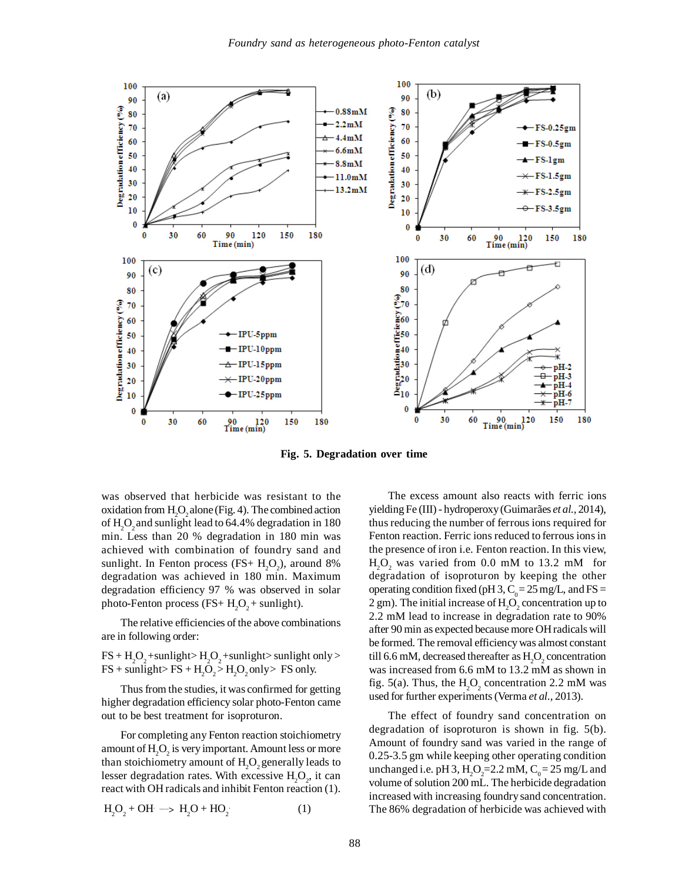

**Fig. 5. Degradation over time**

was observed that herbicide was resistant to the oxidation from  $H_2O_2$  alone (Fig. 4). The combined action of  $\rm H_2O_2$  and sunlight lead to 64.4% degradation in 180 min. Less than 20 % degradation in 180 min was achieved with combination of foundry sand and sunlight. In Fenton process  $(FS + H_2O_2)$ , around 8% degradation was achieved in 180 min. Maximum degradation efficiency 97 % was observed in solar photo-Fenton process (FS+  $H_2O_2$ + sunlight).

The relative efficiencies of the above combinations are in following order:

 $FS + H<sub>2</sub>O<sub>2</sub> + \text{sunlight} > H<sub>2</sub>O<sub>2</sub> + \text{sunlight} > \text{sunlight only} >$  $FS + \text{sunlight} > FS + H_2O_2 > H_2O_2$  only  $> FS$  only.

Thus from the studies, it was confirmed for getting higher degradation efficiency solar photo-Fenton came out to be best treatment for isoproturon.

For completing any Fenton reaction stoichiometry amount of  $\mathrm{H}_{2}\mathrm{O}_{2}$  is very important. Amount less or more than stoichiometry amount of  $\rm H_2O_2$  generally leads to lesser degradation rates. With excessive  $H_2O_2$ , it can react with OH radicals and inhibit Fenton reaction (1).

$$
H_2O_2 + OH \longrightarrow H_2O + HO_2 \tag{1}
$$

The excess amount also reacts with ferric ions yielding Fe (III) - hydroperoxy(Guimarães *et al.,* 2014), thus reducing the number of ferrous ions required for Fenton reaction. Ferric ions reduced to ferrous ionsin the presence of iron i.e. Fenton reaction. In this view,  $H<sub>2</sub>O<sub>2</sub>$  was varied from 0.0 mM to 13.2 mM for degradation of isoproturon by keeping the other operating condition fixed (pH 3,  $C_0 = 25$  mg/L, and FS = 2 gm). The initial increase of  $H_2O_2$  concentration up to 2.2 mM lead to increase in degradation rate to 90% after 90 min as expected becausemore OHradicals will be formed. The removal efficiencywas almost constant till 6.6 mM, decreased thereafter as  $\rm{H_2O_2}$  concentration was increased from 6.6 mM to 13.2 mM as shown in fig. 5(a). Thus, the  $H_2O_2$  concentration 2.2 mM was used for further experiments(Verma *et al.,* 2013).

The effect of foundry sand concentration on degradation of isoproturon is shown in fig. 5(b). Amount of foundry sand was varied in the range of 0.25-3.5 gm while keeping other operating condition unchanged i.e. pH 3,  $H_2O_2 = 2.2$  mM,  $C_0 = 25$  mg/L and volume of solution 200 mL. The herbicide degradation increased with increasing foundrysand concentration. The 86% degradation of herbicide was achieved with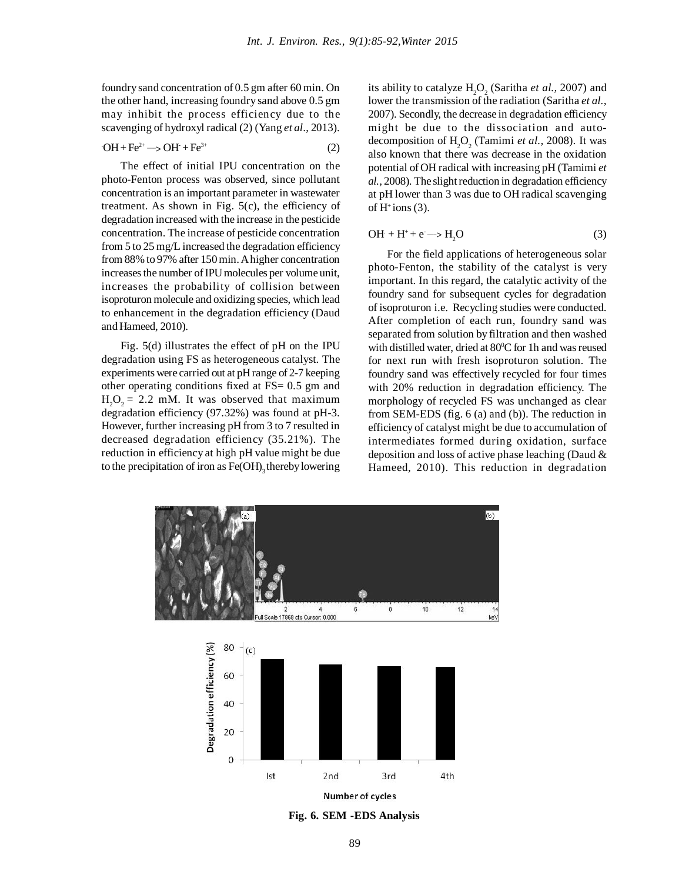foundrysand concentration of 0.5 gm after 60 min. On the other hand, increasing foundry sand above 0.5 gm may inhibit the process efficiency due to the scavenging of hydroxyl radical (2) (Yang *et al*., 2013).

$$
\mathrm{OH} + \mathrm{Fe^{2+}} \longrightarrow \mathrm{OH} + \mathrm{Fe^{3+}}
$$
 (2)

The effect of initial IPU concentration on the photo-Fenton process was observed, since pollutant concentration is an important parameter in wastewater treatment. As shown in Fig. 5(c), the efficiency of degradation increased with the increase in the pesticide concentration. The increase of pesticide concentration from 5 to 25 mg/L increased the degradation efficiency from 88% to 97% after 150min.Ahigher concentration increases the number of IPU molecules per volume unit, increases the probability of collision between isoproturon molecule and oxidizing species, which lead to enhancement in the degradation efficiency (Daud and Hameed, 2010).

Fig. 5(d) illustrates the effect of pH on the IPU degradation using FS as heterogeneous catalyst. The experiments were carried out at pHrange of 2-7 keeping other operating conditions fixed at FS= 0.5 gm and  $H_2O_2 = 2.2$  mM. It was observed that maximum degradation efficiency (97.32%) was found at pH-3. However, further increasing pH from 3 to 7 resulted in decreased degradation efficiency (35.21%). The reduction in efficiency at high pH value might be due to the precipitation of iron as  $\mathsf{Fe(OH)}_{3}$  thereby lowering

its ability to catalyze  $H_2O_2$  (Saritha *et al.*, 2007) and lower the transmission of the radiation (Saritha *et al.,* 2007). Secondly, the decrease in degradation efficiency might be due to the dissociation and autodecomposition of  $H_2O_2$  (Tamimi *et al.*, 2008). It was also known that there was decrease in the oxidation potential ofOH radical with increasing pH (Tamimi *et al.,* 2008). The slight reduction in degradation efficiency at pH lower than 3 was due to OH radical scavenging of  $H^+$ ions (3).

$$
\text{OH} + \text{H}^+ + \text{e} \longrightarrow \text{H}_2\text{O} \tag{3}
$$

For the field applications of heterogeneous solar photo-Fenton, the stability of the catalyst is very important. In this regard, the catalytic activity of the foundry sand for subsequent cycles for degradation of isoproturon i.e. Recycling studies were conducted. After completion of each run, foundry sand was separated from solution by filtration and then washed with distilled water, dried at 80°C for 1h and was reused for next run with fresh isoproturon solution. The foundry sand was effectively recycled for four times with 20% reduction in degradation efficiency. The morphology of recycled FS was unchanged as clear from SEM-EDS (fig. 6 (a) and (b)). The reduction in efficiency of catalyst might be due to accumulation of intermediates formed during oxidation, surface deposition and loss of active phase leaching (Daud & Hameed, 2010). This reduction in degradation

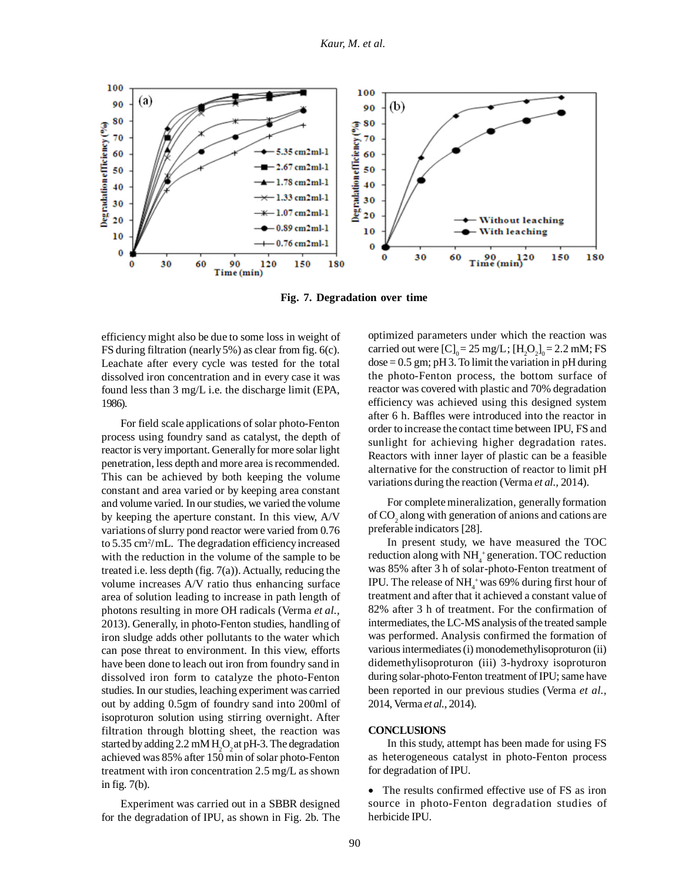

**Fig. 7. Degradation over time**

efficiency might also be due to some loss in weight of FS during filtration (nearly5%) as clear from fig. 6(c). Leachate after every cycle was tested for the total dissolved iron concentration and in every case it was found less than 3 mg/L i.e. the discharge limit (EPA, 1986).

For field scale applications of solar photo-Fenton process using foundry sand as catalyst, the depth of reactor is very important. Generally for more solar light penetration, less depth and more area isrecommended. This can be achieved by both keeping the volume constant and area varied or by keeping area constant and volume varied. In our studies, we varied the volume by keeping the aperture constant. In this view, A/V variations of slurry pond reactor were varied from 0.76 to 5.35 cm<sup>2</sup>/mL. The degradation efficiency increased with the reduction in the volume of the sample to be treated i.e. less depth (fig. 7(a)). Actually, reducing the volume increases A/V ratio thus enhancing surface area of solution leading to increase in path length of photons resulting in more OH radicals (Verma *et al.,* 2013). Generally, in photo-Fenton studies, handling of iron sludge adds other pollutants to the water which can pose threat to environment. In this view, efforts have been done to leach out iron from foundry sand in dissolved iron form to catalyze the photo-Fenton studies. In our studies, leaching experiment was carried out by adding 0.5gm of foundry sand into 200ml of isoproturon solution using stirring overnight. After filtration through blotting sheet, the reaction was started by adding 2.2 mM  $H_2O_2$  at pH-3. The degradation achieved was 85% after 150 min of solar photo-Fenton treatment with iron concentration  $2.5 \text{ mg/L}$  as shown in fig. 7(b).

Experiment was carried out in a SBBR designed for the degradation of IPU, as shown in Fig. 2b. The optimized parameters under which the reaction was carried out were  $[C]_0 = 25$  mg/L;  $[H_2O_2]_0 = 2.2$  mM; FS  $dose = 0.5$  gm; pH 3. To limit the variation in pH during the photo-Fenton process, the bottom surface of reactor was covered with plastic and 70% degradation efficiency was achieved using this designed system after 6 h. Baffles were introduced into the reactor in order to increase the contact time between IPU, FS and sunlight for achieving higher degradation rates. Reactors with inner layer of plastic can be a feasible alternative for the construction of reactor to limit pH variations during the reaction (Verma *et al.,* 2014).

For complete mineralization, generally formation of  $\mathrm{CO}_2$  along with generation of anions and cations are preferable indicators [28].

In present study, we have measured the TOC reduction along with NH<sub>4</sub><sup>+</sup> generation. TOC reduction was 85% after 3 h of solar-photo-Fenton treatment of IPU. The release of NH $_4^+$ was 69% during first hour of treatment and after that it achieved a constant value of 82% after 3 h of treatment. For the confirmation of intermediates, the LC-MS analysis of the treated sample was performed. Analysis confirmed the formation of various intermediates (i) monodemethylisoproturon (ii) didemethylisoproturon (iii) 3-hydroxy isoproturon during solar-photo-Fenton treatment of IPU; same have been reported in our previous studies (Verma *et al.,* 2014, Verma *et al.,* 2014).

## **CONCLUSIONS**

In this study, attempt has been made for using FS as heterogeneous catalyst in photo-Fenton process for degradation of IPU.

• The results confirmed effective use of FS as iron source in photo-Fenton degradation studies of herbicide IPU.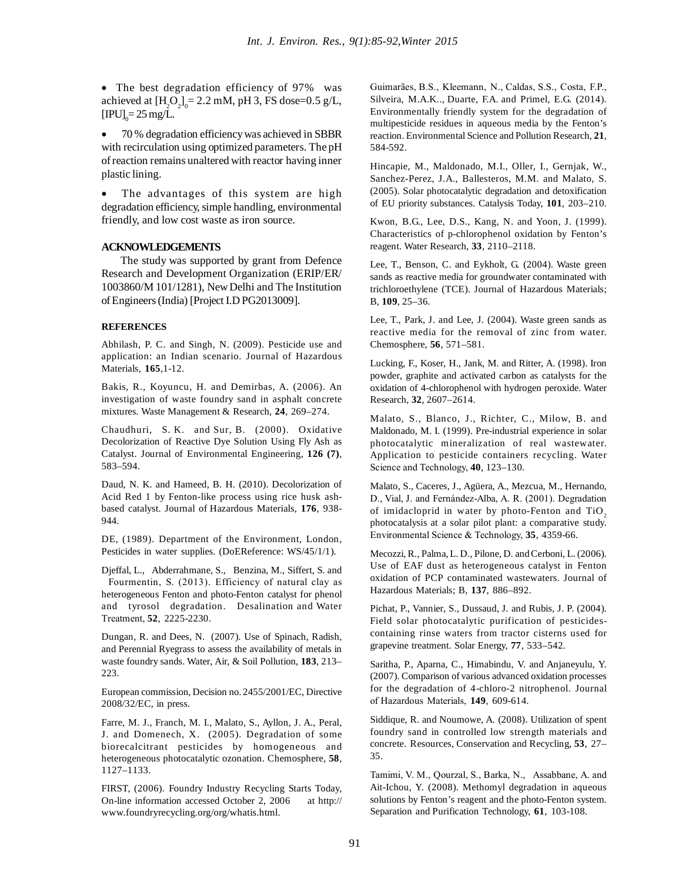• The best degradation efficiency of 97% was achieved at  $[H_2O_2]_0 = 2.2 \text{ mM}$ , pH 3, FS dose=0.5 g/L,  $[IPU]_0 = 25$  mg/L.

 70 % degradation efficiencywas achieved in SBBR with recirculation using optimized parameters. The pH ofreaction remains unaltered with reactor having inner plastic lining.

 The advantages of this system are high degradation efficiency, simple handling, environmental friendly, and low cost waste as iron source.

## **ACKNOWLEDGEMENTS**

The study was supported by grant from Defence Research and Development Organization (ERIP/ER/ 1003860/M 101/1281), NewDelhi and The Institution ofEngineers(India) [Project I.D PG2013009].

### **REFERENCES**

Abhilash, P. C. and Singh, N. (2009). Pesticide use and application: an Indian scenario. Journal of Hazardous Materials, **165**,1-12.

Bakis, R., Koyuncu, H. and Demirbas, A. (2006). An investigation of waste foundry sand in asphalt concrete mixtures. Waste Management & Research, **24**, 269–274.

Chaudhuri, S. K. and Sur, B. (2000). Oxidative Decolorization of Reactive Dye Solution Using Fly Ash as Catalyst. Journal of Environmental Engineering, **126 (7)**, 583–594.

Daud, N. K. and Hameed, B. H. (2010). Decolorization of Acid Red 1 by Fenton-like process using rice husk ashbased catalyst. Journal of Hazardous Materials, **176**, 938- 944.

DE, (1989). Department of the Environment, London, Pesticides in water supplies. (DoEReference: WS/45/1/1).

Djeffal, L., Abderrahmane, S., Benzina, M., Siffert, S. and Fourmentin, S. (2013). Efficiency of natural clay as heterogeneous Fenton and photo-Fenton catalyst for phenol and tyrosol degradation. Desalination and Water Treatment, **52**, 2225-2230.

Dungan, R. and Dees, N. (2007). Use of Spinach, Radish, and Perennial Ryegrass to assess the availability of metals in waste foundry sands. Water, Air, & Soil Pollution, **183**, 213– 223.

European commission, Decision no. 2455/2001/EC, Directive 2008/32/EC, in press.

Farre, M. J., Franch, M. I., Malato, S., Ayllon, J. A., Peral, J. and Domenech, X. (2005). Degradation of some biorecalcitrant pesticides by homogeneous and heterogeneous photocatalytic ozonation. Chemosphere, **58**, 1127–1133.

FIRST, (2006). Foundry Industry Recycling Starts Today, On-line information accessed October 2, 2006 at http:// www.foundryrecycling.org/org/whatis.html.

Guimarães, B.S., Kleemann, N., Caldas, S.S., Costa, F.P., Silveira, M.A.K.., Duarte, F.A. and Primel, E.G. (2014). Environmentally friendly system for the degradation of multipesticide residues in aqueous media by the Fenton's reaction. Environmental Science and Pollution Research, **21**, 584-592.

Hincapie, M., Maldonado, M.I., Oller, I., Gernjak, W., Sanchez-Perez, J.A., Ballesteros, M.M. and Malato, S. (2005). Solar photocatalytic degradation and detoxification of EU priority substances. Catalysis Today, **101**, 203–210.

Kwon, B.G., Lee, D.S., Kang, N. and Yoon, J. (1999). Characteristics of p-chlorophenol oxidation by Fenton's reagent. Water Research, **33**, 2110–2118.

Lee, T., Benson, C. and Eykholt, G. (2004). Waste green sands as reactive media for groundwater contaminated with trichloroethylene (TCE). Journal of Hazardous Materials; B, **109**, 25–36.

Lee, T., Park, J. and Lee, J. (2004). Waste green sands as reactive media for the removal of zinc from water. Chemosphere, **56**, 571–581.

Lucking, F., Koser, H., Jank, M. and Ritter, A. (1998). Iron powder, graphite and activated carbon as catalysts for the oxidation of 4-chlorophenol with hydrogen peroxide. Water Research, **32**, 2607–2614.

Malato, S., Blanco, J., Richter, C., Milow, B. and Maldonado, M. I. (1999). Pre-industrial experience in solar photocatalytic mineralization of real wastewater. Application to pesticide containers recycling. Water Science and Technology, **40**, 123–130.

Malato, S., Caceres, J., Agüera, A., Mezcua, M., Hernando, D., Vial, J. and Fernández-Alba, A. R. (2001). Degradation of imidacloprid in water by photo-Fenton and  $TiO<sub>2</sub>$ photocatalysis at a solar pilot plant: a comparative study. Environmental Science & Technology, **35**, 4359-66.

Mecozzi, R., Palma, L. D., Pilone, D. and Cerboni, L. (2006). Use of EAF dust as heterogeneous catalyst in Fenton oxidation of PCP contaminated wastewaters. Journal of Hazardous Materials; B, **137**, 886–892.

Pichat, P., Vannier, S., Dussaud, J. and Rubis, J. P. (2004). Field solar photocatalytic purification of pesticidescontaining rinse waters from tractor cisterns used for grapevine treatment. Solar Energy, **77**, 533–542.

Saritha, P., Aparna, C., Himabindu, V. and Anjaneyulu, Y. (2007). Comparison of various advanced oxidation processes for the degradation of 4-chloro-2 nitrophenol. Journal of Hazardous Materials, **149**, 609-614.

Siddique, R. and Noumowe, A. (2008). Utilization of spent foundry sand in controlled low strength materials and concrete. Resources, Conservation and Recycling, **53**, 27– 35.

Tamimi, V. M., Qourzal, S., Barka, N., Assabbane, A. and Ait-Ichou, Y. (2008). Methomyl degradation in aqueous solutions by Fenton's reagent and the photo-Fenton system. Separation and Purification Technology, **61**, 103-108.